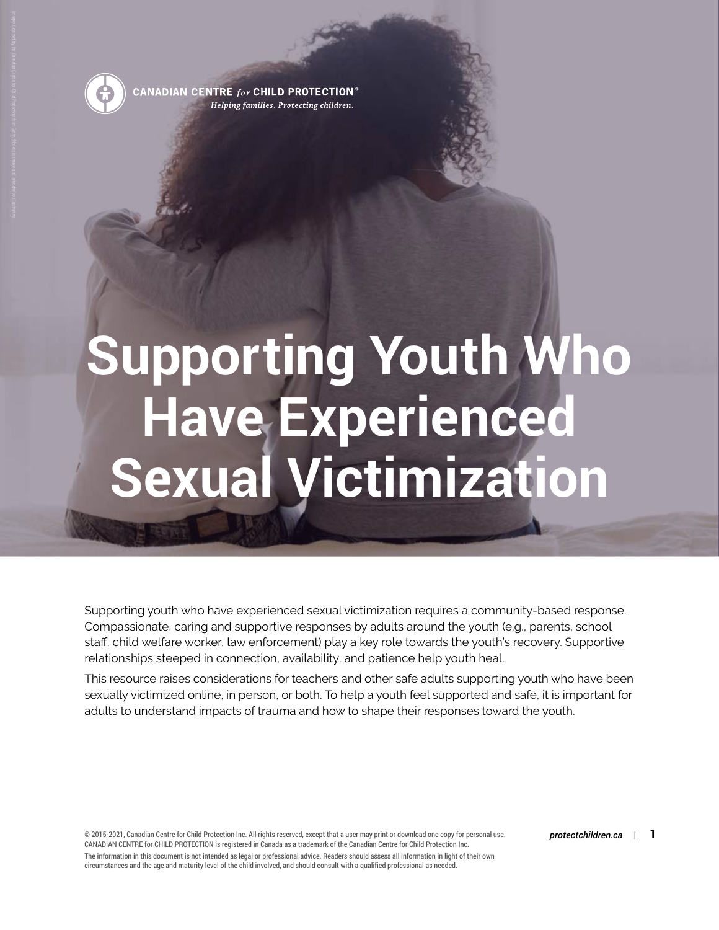

CANADIAN CENTRE  $_{for}$  CHILD PROTECTION  $^\circ$ Helping families. Protecting children.

# **Supporting Youth Who Have Experienced Sexual Victimization**

Supporting youth who have experienced sexual victimization requires a community-based response. Compassionate, caring and supportive responses by adults around the youth (e.g., parents, school staff, child welfare worker, law enforcement) play a key role towards the youth's recovery. Supportive relationships steeped in connection, availability, and patience help youth heal.

This resource raises considerations for teachers and other safe adults supporting youth who have been sexually victimized online, in person, or both. To help a youth feel supported and safe, it is important for adults to understand impacts of trauma and how to shape their responses toward the youth.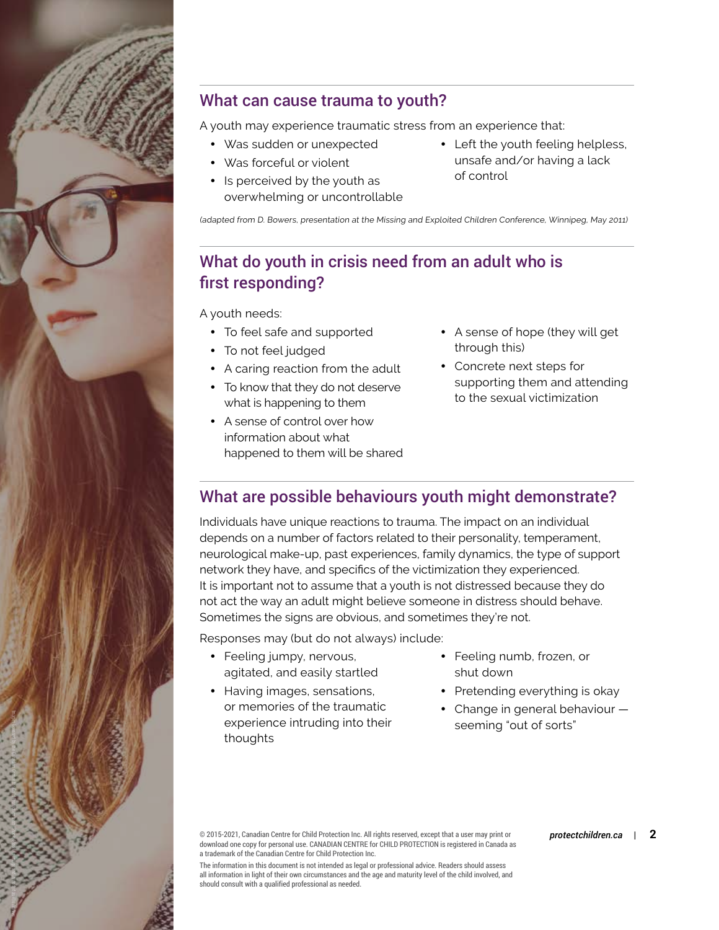

#### What can cause trauma to youth?

A youth may experience traumatic stress from an experience that:

- Was sudden or unexpected
- Was forceful or violent
- Is perceived by the youth as overwhelming or uncontrollable
- Left the youth feeling helpless, unsafe and/or having a lack of control

(adapted from D. Bowers, presentation at the Missing and Exploited Children Conference, Winnipeg, May 2011)

### What do youth in crisis need from an adult who is first responding?

A youth needs:

- To feel safe and supported
- To not feel judged
- A caring reaction from the adult
- To know that they do not deserve what is happening to them
- A sense of control over how information about what happened to them will be shared
- A sense of hope (they will get through this)
- Concrete next steps for supporting them and attending to the sexual victimization

#### What are possible behaviours youth might demonstrate?

Individuals have unique reactions to trauma. The impact on an individual depends on a number of factors related to their personality, temperament, neurological make-up, past experiences, family dynamics, the type of support network they have, and specifics of the victimization they experienced. It is important not to assume that a youth is not distressed because they do not act the way an adult might believe someone in distress should behave. Sometimes the signs are obvious, and sometimes they're not.

Responses may (but do not always) include:

- Feeling jumpy, nervous, agitated, and easily startled
- Having images, sensations, or memories of the traumatic experience intruding into their thoughts
- Feeling numb, frozen, or shut down
- Pretending everything is okay
- Change in general behaviour seeming "out of sorts"

© 2015-2021, Canadian Centre for Child Protection Inc. All rights reserved, except that a user may print or *protectchildren.ca* | **2** download one copy for personal use. CANADIAN CENTRE for CHILD PROTECTION is registered in Canada as a trademark of the Canadian Centre for Child Protection Inc.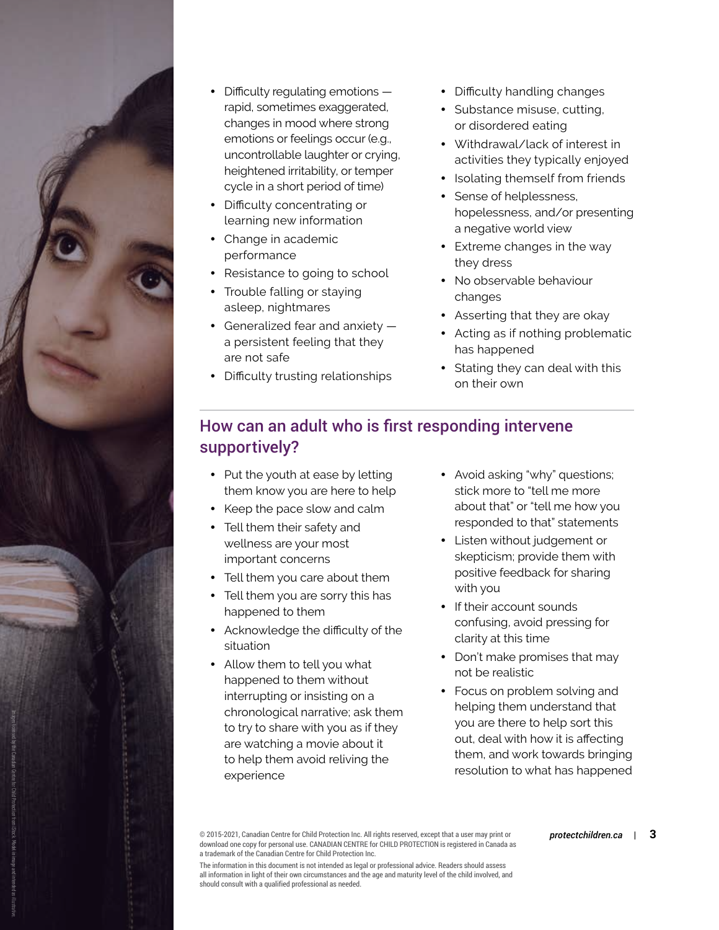

- Difficulty regulating emotions rapid, sometimes exaggerated, changes in mood where strong emotions or feelings occur (e.g., uncontrollable laughter or crying, heightened irritability, or temper cycle in a short period of time)
- Difficulty concentrating or learning new information
- Change in academic performance
- Resistance to going to school
- Trouble falling or staying asleep, nightmares
- Generalized fear and anxiety a persistent feeling that they are not safe
- Difficulty trusting relationships
- Difficulty handling changes
- Substance misuse, cutting, or disordered eating
- Withdrawal/lack of interest in activities they typically enjoyed
- Isolating themself from friends
- Sense of helplessness, hopelessness, and/or presenting a negative world view
- Extreme changes in the way they dress
- No observable behaviour changes
- Asserting that they are okay
- Acting as if nothing problematic has happened
- Stating they can deal with this on their own

#### How can an adult who is first responding intervene supportively?

- Put the youth at ease by letting them know you are here to help
- Keep the pace slow and calm
- Tell them their safety and wellness are your most important concerns
- Tell them you care about them
- Tell them you are sorry this has happened to them
- Acknowledge the difficulty of the situation
- Allow them to tell you what happened to them without interrupting or insisting on a chronological narrative; ask them to try to share with you as if they are watching a movie about it to help them avoid reliving the experience
- Avoid asking "why" questions; stick more to "tell me more about that" or "tell me how you responded to that" statements
- Listen without judgement or skepticism; provide them with positive feedback for sharing with you
- If their account sounds confusing, avoid pressing for clarity at this time
- Don't make promises that may not be realistic
- Focus on problem solving and helping them understand that you are there to help sort this out, deal with how it is affecting them, and work towards bringing resolution to what has happened

© 2015-2021, Canadian Centre for Child Protection Inc. All rights reserved, except that a user may print or *protectchildren.ca* | **3** download one copy for personal use. CANADIAN CENTRE for CHILD PROTECTION is registered in Canada as a trademark of the Canadian Centre for Child Protection Inc.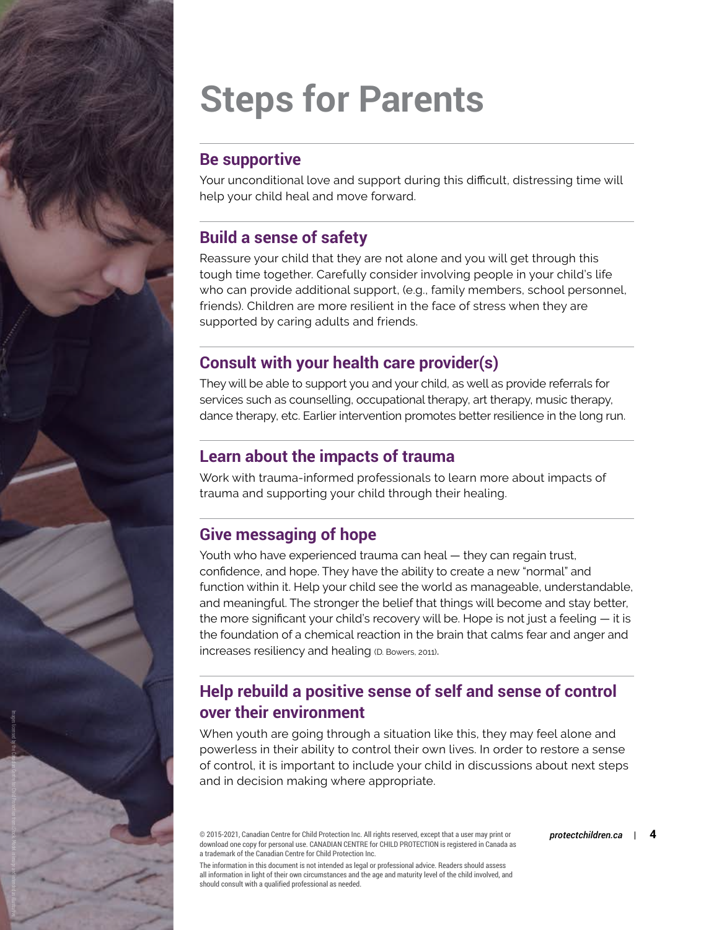## **Steps for Parents**

#### **Be supportive**

Your unconditional love and support during this difficult, distressing time will help your child heal and move forward.

#### **Build a sense of safety**

Reassure your child that they are not alone and you will get through this tough time together. Carefully consider involving people in your child's life who can provide additional support, (e.g., family members, school personnel, friends). Children are more resilient in the face of stress when they are supported by caring adults and friends.

#### **Consult with your health care provider(s)**

They will be able to support you and your child, as well as provide referrals for services such as counselling, occupational therapy, art therapy, music therapy, dance therapy, etc. Earlier intervention promotes better resilience in the long run.

#### **Learn about the impacts of trauma**

Work with trauma-informed professionals to learn more about impacts of trauma and supporting your child through their healing.

### **Give messaging of hope**

Images licensed by the Canadian Centre for Child Protection from iStock. Model in image and intended as illustrative.

Youth who have experienced trauma can heal — they can regain trust, confidence, and hope. They have the ability to create a new "normal" and function within it. Help your child see the world as manageable, understandable, and meaningful. The stronger the belief that things will become and stay better, the more significant your child's recovery will be. Hope is not just a feeling — it is the foundation of a chemical reaction in the brain that calms fear and anger and increases resiliency and healing (D. Bowers, 2011).

#### **Help rebuild a positive sense of self and sense of control over their environment**

When youth are going through a situation like this, they may feel alone and powerless in their ability to control their own lives. In order to restore a sense of control, it is important to include your child in discussions about next steps and in decision making where appropriate.

© 2015-2021, Canadian Centre for Child Protection Inc. All rights reserved, except that a user may print or *protectchildren.ca* | **4** download one copy for personal use. CANADIAN CENTRE for CHILD PROTECTION is registered in Canada as a trademark of the Canadian Centre for Child Protection Inc.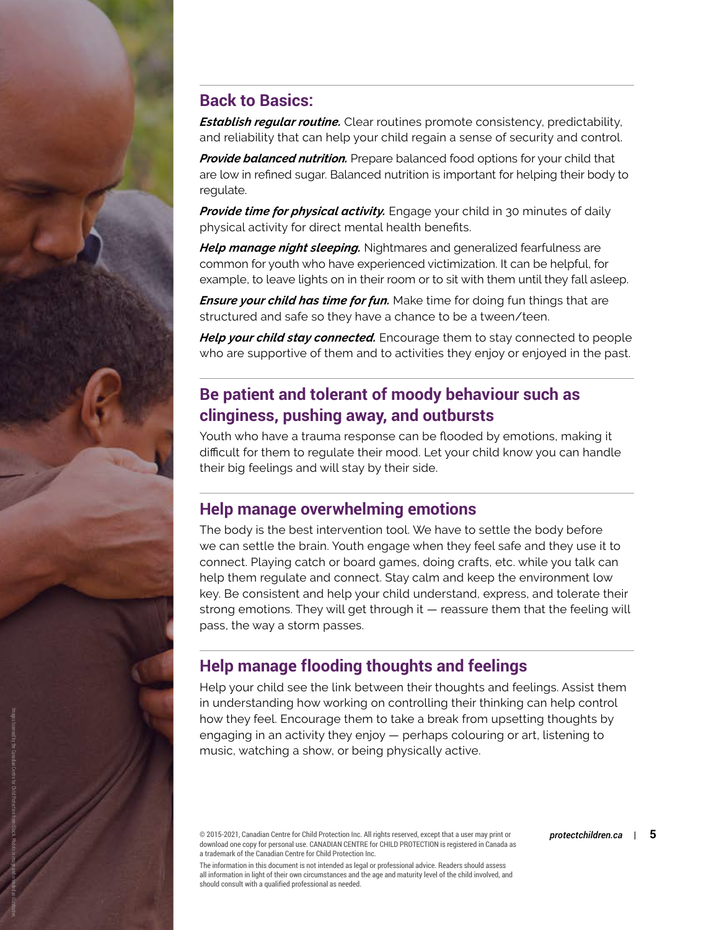#### **Back to Basics:**

*Establish regular routine.* Clear routines promote consistency, predictability, and reliability that can help your child regain a sense of security and control.

*Provide balanced nutrition.* Prepare balanced food options for your child that are low in refined sugar. Balanced nutrition is important for helping their body to regulate.

*Provide time for physical activity.* Engage your child in 30 minutes of daily physical activity for direct mental health benefits.

*Help manage night sleeping.* Nightmares and generalized fearfulness are common for youth who have experienced victimization. It can be helpful, for example, to leave lights on in their room or to sit with them until they fall asleep.

*Ensure your child has time for fun.* Make time for doing fun things that are structured and safe so they have a chance to be a tween/teen.

*Help your child stay connected.* Encourage them to stay connected to people who are supportive of them and to activities they enjoy or enjoyed in the past.

#### **Be patient and tolerant of moody behaviour such as clinginess, pushing away, and outbursts**

Youth who have a trauma response can be flooded by emotions, making it difficult for them to regulate their mood. Let your child know you can handle their big feelings and will stay by their side.

#### **Help manage overwhelming emotions**

The body is the best intervention tool. We have to settle the body before we can settle the brain. Youth engage when they feel safe and they use it to connect. Playing catch or board games, doing crafts, etc. while you talk can help them regulate and connect. Stay calm and keep the environment low key. Be consistent and help your child understand, express, and tolerate their strong emotions. They will get through it — reassure them that the feeling will pass, the way a storm passes.

#### **Help manage flooding thoughts and feelings**

Help your child see the link between their thoughts and feelings. Assist them in understanding how working on controlling their thinking can help control how they feel. Encourage them to take a break from upsetting thoughts by engaging in an activity they enjoy — perhaps colouring or art, listening to music, watching a show, or being physically active.

© 2015-2021, Canadian Centre for Child Protection Inc. All rights reserved, except that a user may print or *protectchildren.ca* | **5** download one copy for personal use. CANADIAN CENTRE for CHILD PROTECTION is registered in Canada as a trademark of the Canadian Centre for Child Protection Inc.